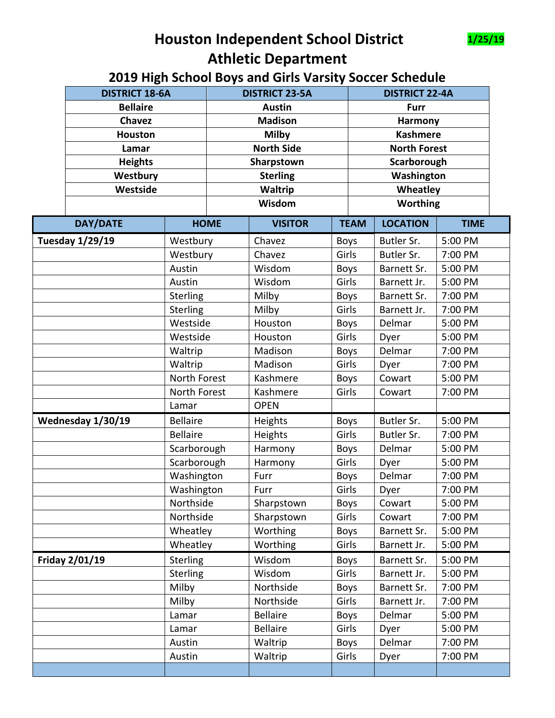

## **Houston Independent School District 1/25/19 Athletic Department**

## **2019 High School Boys and Girls Varsity Soccer Schedule**

|  | <b>DISTRICT 18-6A</b><br><b>Bellaire</b><br><b>Chavez</b><br><b>Houston</b><br>Lamar<br><b>Heights</b><br>Westbury |                 | <b>DISTRICT 23-5A</b>    |                   |             | <b>DISTRICT 22-4A</b>                            |                 |             |  |
|--|--------------------------------------------------------------------------------------------------------------------|-----------------|--------------------------|-------------------|-------------|--------------------------------------------------|-----------------|-------------|--|
|  |                                                                                                                    |                 |                          | <b>Austin</b>     |             |                                                  | <b>Furr</b>     |             |  |
|  |                                                                                                                    |                 |                          | <b>Madison</b>    |             |                                                  | Harmony         |             |  |
|  |                                                                                                                    |                 | <b>Milby</b>             |                   |             | <b>Kashmere</b>                                  |                 |             |  |
|  |                                                                                                                    |                 |                          | <b>North Side</b> |             | <b>North Forest</b><br>Scarborough<br>Washington |                 |             |  |
|  |                                                                                                                    |                 |                          | Sharpstown        |             |                                                  |                 |             |  |
|  |                                                                                                                    |                 |                          | <b>Sterling</b>   |             |                                                  |                 |             |  |
|  | Westside                                                                                                           |                 | <b>Waltrip</b><br>Wisdom |                   |             | Wheatley<br><b>Worthing</b>                      |                 |             |  |
|  |                                                                                                                    |                 |                          |                   |             |                                                  |                 |             |  |
|  | <b>DAY/DATE</b>                                                                                                    |                 | <b>HOME</b>              | <b>VISITOR</b>    |             | <b>TEAM</b>                                      | <b>LOCATION</b> | <b>TIME</b> |  |
|  | Tuesday 1/29/19                                                                                                    |                 | Westbury                 | Chavez            | <b>Boys</b> |                                                  | Butler Sr.      | 5:00 PM     |  |
|  |                                                                                                                    | Westbury        |                          | Chavez            | Girls       |                                                  | Butler Sr.      | 7:00 PM     |  |
|  |                                                                                                                    | Austin          |                          | Wisdom            | <b>Boys</b> |                                                  | Barnett Sr.     | 5:00 PM     |  |
|  |                                                                                                                    | Austin          |                          | Wisdom            | Girls       |                                                  | Barnett Jr.     | 5:00 PM     |  |
|  |                                                                                                                    | <b>Sterling</b> |                          | Milby             | <b>Boys</b> |                                                  | Barnett Sr.     | 7:00 PM     |  |
|  |                                                                                                                    | <b>Sterling</b> |                          | Milby             | Girls       |                                                  | Barnett Jr.     | 7:00 PM     |  |
|  |                                                                                                                    | Westside        |                          | Houston           | <b>Boys</b> |                                                  | Delmar          | 5:00 PM     |  |
|  |                                                                                                                    | Westside        |                          | Houston           | Girls       |                                                  | Dyer            | 5:00 PM     |  |
|  |                                                                                                                    | Waltrip         |                          | Madison           | <b>Boys</b> |                                                  | Delmar          | 7:00 PM     |  |
|  |                                                                                                                    | Waltrip         |                          | Madison           | Girls       |                                                  | Dyer            | 7:00 PM     |  |
|  |                                                                                                                    | North Forest    |                          | Kashmere          | <b>Boys</b> |                                                  | Cowart          | 5:00 PM     |  |
|  |                                                                                                                    | North Forest    |                          | Kashmere          | Girls       |                                                  | Cowart          | 7:00 PM     |  |
|  |                                                                                                                    | Lamar           |                          | <b>OPEN</b>       |             |                                                  |                 |             |  |
|  | Wednesday 1/30/19                                                                                                  | <b>Bellaire</b> |                          | Heights           | <b>Boys</b> |                                                  | Butler Sr.      | 5:00 PM     |  |
|  |                                                                                                                    | <b>Bellaire</b> |                          | Heights           | Girls       |                                                  | Butler Sr.      | 7:00 PM     |  |
|  |                                                                                                                    | Scarborough     |                          | Harmony           | <b>Boys</b> |                                                  | Delmar          | 5:00 PM     |  |
|  |                                                                                                                    | Scarborough     |                          | Harmony           | Girls       |                                                  | Dyer            | 5:00 PM     |  |
|  |                                                                                                                    | Washington      |                          | Furr              | Boys        |                                                  | Delmar          | 7:00 PM     |  |
|  |                                                                                                                    | Washington      |                          | Furr              | Girls       |                                                  | Dyer            | 7:00 PM     |  |
|  |                                                                                                                    | Northside       |                          | Sharpstown        | <b>Boys</b> |                                                  | Cowart          | 5:00 PM     |  |
|  |                                                                                                                    | Northside       |                          | Sharpstown        | Girls       |                                                  | Cowart          | 7:00 PM     |  |
|  |                                                                                                                    | Wheatley        |                          | Worthing          | <b>Boys</b> |                                                  | Barnett Sr.     | 5:00 PM     |  |
|  |                                                                                                                    | Wheatley        |                          | Worthing          | Girls       |                                                  | Barnett Jr.     | 5:00 PM     |  |
|  | Friday 2/01/19                                                                                                     | Sterling        |                          | Wisdom            | <b>Boys</b> |                                                  | Barnett Sr.     | 5:00 PM     |  |
|  |                                                                                                                    | <b>Sterling</b> |                          | Wisdom            | Girls       |                                                  | Barnett Jr.     | 5:00 PM     |  |
|  |                                                                                                                    | Milby           |                          | Northside         | <b>Boys</b> |                                                  | Barnett Sr.     | 7:00 PM     |  |
|  |                                                                                                                    | Milby           |                          | Northside         | Girls       |                                                  | Barnett Jr.     | 7:00 PM     |  |
|  | Lamar                                                                                                              |                 |                          | <b>Bellaire</b>   | <b>Boys</b> |                                                  | Delmar          | 5:00 PM     |  |
|  |                                                                                                                    | Lamar           |                          | <b>Bellaire</b>   | Girls       |                                                  | Dyer            | 5:00 PM     |  |
|  |                                                                                                                    | Austin          |                          | Waltrip           | <b>Boys</b> |                                                  | Delmar          | 7:00 PM     |  |
|  |                                                                                                                    | Austin          |                          | Waltrip           | Girls       |                                                  | Dyer            | 7:00 PM     |  |
|  |                                                                                                                    |                 |                          |                   |             |                                                  |                 |             |  |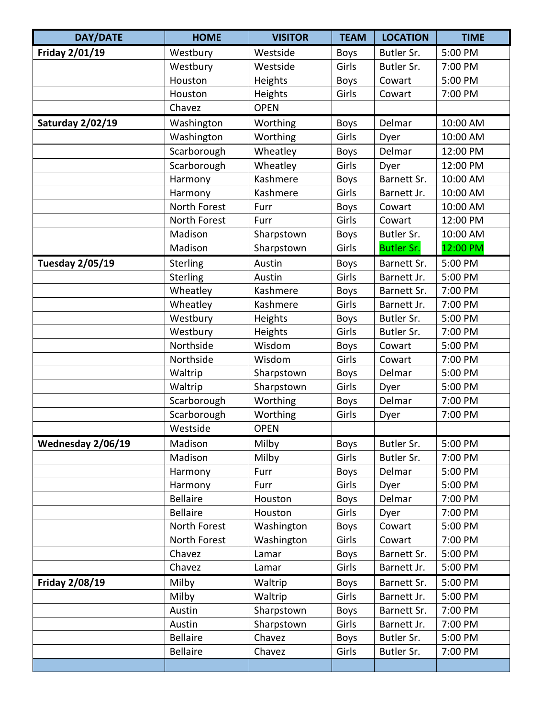| <b>DAY/DATE</b>        | <b>HOME</b>     | <b>VISITOR</b> | <b>TEAM</b> | <b>LOCATION</b>   | <b>TIME</b> |
|------------------------|-----------------|----------------|-------------|-------------------|-------------|
| Friday 2/01/19         | Westbury        | Westside       | <b>Boys</b> | Butler Sr.        | 5:00 PM     |
|                        | Westbury        | Westside       | Girls       | Butler Sr.        | 7:00 PM     |
|                        | Houston         | Heights        | <b>Boys</b> | Cowart            | 5:00 PM     |
|                        | Houston         | Heights        | Girls       | Cowart            | 7:00 PM     |
|                        | Chavez          | <b>OPEN</b>    |             |                   |             |
| Saturday 2/02/19       | Washington      | Worthing       | <b>Boys</b> | Delmar            | 10:00 AM    |
|                        | Washington      | Worthing       | Girls       | Dyer              | 10:00 AM    |
|                        | Scarborough     | Wheatley       | <b>Boys</b> | Delmar            | 12:00 PM    |
|                        | Scarborough     | Wheatley       | Girls       | Dyer              | 12:00 PM    |
|                        | Harmony         | Kashmere       | <b>Boys</b> | Barnett Sr.       | 10:00 AM    |
|                        | Harmony         | Kashmere       | Girls       | Barnett Jr.       | 10:00 AM    |
|                        | North Forest    | Furr           | <b>Boys</b> | Cowart            | 10:00 AM    |
|                        | North Forest    | Furr           | Girls       | Cowart            | 12:00 PM    |
|                        | Madison         | Sharpstown     | <b>Boys</b> | Butler Sr.        | 10:00 AM    |
|                        | Madison         | Sharpstown     | Girls       | <b>Butler Sr.</b> | 12:00 PM    |
| <b>Tuesday 2/05/19</b> | Sterling        | Austin         | <b>Boys</b> | Barnett Sr.       | 5:00 PM     |
|                        | Sterling        | Austin         | Girls       | Barnett Jr.       | 5:00 PM     |
|                        | Wheatley        | Kashmere       | <b>Boys</b> | Barnett Sr.       | 7:00 PM     |
|                        | Wheatley        | Kashmere       | Girls       | Barnett Jr.       | 7:00 PM     |
|                        | Westbury        | Heights        | <b>Boys</b> | Butler Sr.        | 5:00 PM     |
|                        | Westbury        | Heights        | Girls       | Butler Sr.        | 7:00 PM     |
|                        | Northside       | Wisdom         | <b>Boys</b> | Cowart            | 5:00 PM     |
|                        | Northside       | Wisdom         | Girls       | Cowart            | 7:00 PM     |
|                        | Waltrip         | Sharpstown     | <b>Boys</b> | Delmar            | 5:00 PM     |
|                        | Waltrip         | Sharpstown     | Girls       | Dyer              | 5:00 PM     |
|                        | Scarborough     | Worthing       | <b>Boys</b> | Delmar            | 7:00 PM     |
|                        | Scarborough     | Worthing       | Girls       | Dyer              | 7:00 PM     |
|                        | Westside        | <b>OPEN</b>    |             |                   |             |
| Wednesday 2/06/19      | Madison         | Milby          | <b>Boys</b> | Butler Sr.        | 5:00 PM     |
|                        | Madison         | Milby          | Girls       | Butler Sr.        | 7:00 PM     |
|                        | Harmony         | Furr           | <b>Boys</b> | Delmar            | 5:00 PM     |
|                        | Harmony         | Furr           | Girls       | Dyer              | 5:00 PM     |
|                        | <b>Bellaire</b> | Houston        | <b>Boys</b> | Delmar            | 7:00 PM     |
|                        | <b>Bellaire</b> | Houston        | Girls       | Dyer              | 7:00 PM     |
|                        | North Forest    | Washington     | <b>Boys</b> | Cowart            | 5:00 PM     |
|                        | North Forest    | Washington     | Girls       | Cowart            | 7:00 PM     |
|                        | Chavez          | Lamar          | <b>Boys</b> | Barnett Sr.       | 5:00 PM     |
|                        | Chavez          | Lamar          | Girls       | Barnett Jr.       | 5:00 PM     |
| <b>Friday 2/08/19</b>  | Milby           | Waltrip        | <b>Boys</b> | Barnett Sr.       | 5:00 PM     |
|                        | Milby           | Waltrip        | Girls       | Barnett Jr.       | 5:00 PM     |
|                        | Austin          | Sharpstown     | <b>Boys</b> | Barnett Sr.       | 7:00 PM     |
|                        | Austin          | Sharpstown     | Girls       | Barnett Jr.       | 7:00 PM     |
|                        | <b>Bellaire</b> | Chavez         | <b>Boys</b> | Butler Sr.        | 5:00 PM     |
|                        | <b>Bellaire</b> | Chavez         | Girls       | Butler Sr.        | 7:00 PM     |
|                        |                 |                |             |                   |             |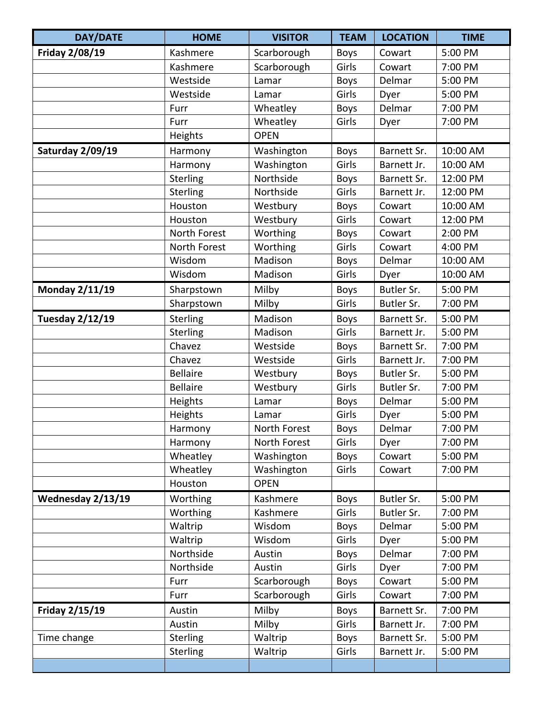| <b>DAY/DATE</b>       | <b>HOME</b>     | <b>VISITOR</b> | <b>TEAM</b> | <b>LOCATION</b> | <b>TIME</b> |
|-----------------------|-----------------|----------------|-------------|-----------------|-------------|
| <b>Friday 2/08/19</b> | Kashmere        | Scarborough    | <b>Boys</b> | Cowart          | 5:00 PM     |
|                       | Kashmere        | Scarborough    | Girls       | Cowart          | 7:00 PM     |
|                       | Westside        | Lamar          | <b>Boys</b> | Delmar          | 5:00 PM     |
|                       | Westside        | Lamar          | Girls       | Dyer            | 5:00 PM     |
|                       | Furr            | Wheatley       | <b>Boys</b> | Delmar          | 7:00 PM     |
|                       | Furr            | Wheatley       | Girls       | Dyer            | 7:00 PM     |
|                       | Heights         | <b>OPEN</b>    |             |                 |             |
| Saturday 2/09/19      | Harmony         | Washington     | Boys        | Barnett Sr.     | 10:00 AM    |
|                       | Harmony         | Washington     | Girls       | Barnett Jr.     | 10:00 AM    |
|                       | Sterling        | Northside      | Boys        | Barnett Sr.     | 12:00 PM    |
|                       | Sterling        | Northside      | Girls       | Barnett Jr.     | 12:00 PM    |
|                       | Houston         | Westbury       | <b>Boys</b> | Cowart          | 10:00 AM    |
|                       | Houston         | Westbury       | Girls       | Cowart          | 12:00 PM    |
|                       | North Forest    | Worthing       | <b>Boys</b> | Cowart          | 2:00 PM     |
|                       | North Forest    | Worthing       | Girls       | Cowart          | 4:00 PM     |
|                       | Wisdom          | Madison        | <b>Boys</b> | Delmar          | 10:00 AM    |
|                       | Wisdom          | Madison        | Girls       | Dyer            | 10:00 AM    |
| Monday 2/11/19        | Sharpstown      | Milby          | <b>Boys</b> | Butler Sr.      | 5:00 PM     |
|                       | Sharpstown      | Milby          | Girls       | Butler Sr.      | 7:00 PM     |
| Tuesday 2/12/19       | Sterling        | Madison        | <b>Boys</b> | Barnett Sr.     | 5:00 PM     |
|                       | Sterling        | Madison        | Girls       | Barnett Jr.     | 5:00 PM     |
|                       | Chavez          | Westside       | <b>Boys</b> | Barnett Sr.     | 7:00 PM     |
|                       | Chavez          | Westside       | Girls       | Barnett Jr.     | 7:00 PM     |
|                       | <b>Bellaire</b> | Westbury       | <b>Boys</b> | Butler Sr.      | 5:00 PM     |
|                       | <b>Bellaire</b> | Westbury       | Girls       | Butler Sr.      | 7:00 PM     |
|                       | Heights         | Lamar          | Boys        | Delmar          | 5:00 PM     |
|                       | Heights         | Lamar          | Girls       | Dyer            | 5:00 PM     |
|                       | Harmony         | North Forest   | <b>Boys</b> | Delmar          | 7:00 PM     |
|                       | Harmony         | North Forest   | Girls       | Dyer            | 7:00 PM     |
|                       | Wheatley        | Washington     | <b>Boys</b> | Cowart          | 5:00 PM     |
|                       | Wheatley        | Washington     | Girls       | Cowart          | 7:00 PM     |
|                       | Houston         | <b>OPEN</b>    |             |                 |             |
| Wednesday 2/13/19     | Worthing        | Kashmere       | <b>Boys</b> | Butler Sr.      | 5:00 PM     |
|                       | Worthing        | Kashmere       | Girls       | Butler Sr.      | 7:00 PM     |
|                       | Waltrip         | Wisdom         | <b>Boys</b> | Delmar          | 5:00 PM     |
|                       | Waltrip         | Wisdom         | Girls       | Dyer            | 5:00 PM     |
|                       | Northside       | Austin         | <b>Boys</b> | Delmar          | 7:00 PM     |
|                       | Northside       | Austin         | Girls       | Dyer            | 7:00 PM     |
|                       | Furr            | Scarborough    | <b>Boys</b> | Cowart          | 5:00 PM     |
|                       | Furr            | Scarborough    | Girls       | Cowart          | 7:00 PM     |
| Friday 2/15/19        | Austin          | Milby          | <b>Boys</b> | Barnett Sr.     | 7:00 PM     |
|                       | Austin          | Milby          | Girls       | Barnett Jr.     | 7:00 PM     |
| Time change           | Sterling        | Waltrip        | <b>Boys</b> | Barnett Sr.     | 5:00 PM     |
|                       | Sterling        | Waltrip        | Girls       | Barnett Jr.     | 5:00 PM     |
|                       |                 |                |             |                 |             |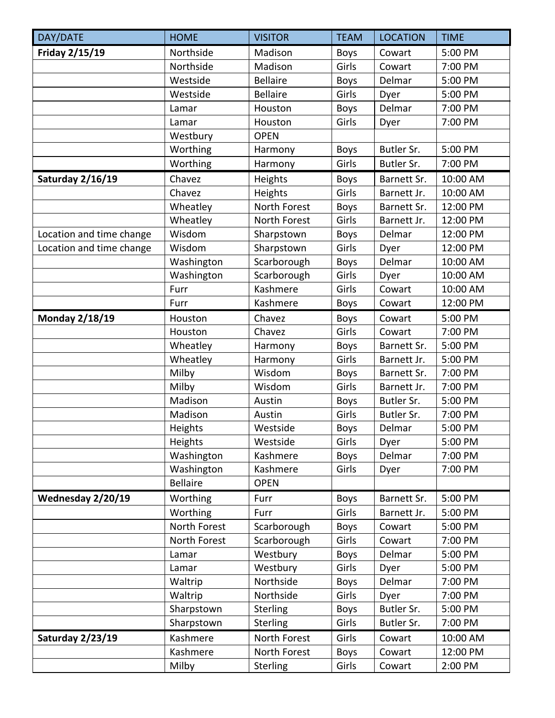| DAY/DATE                 | <b>HOME</b>     | <b>VISITOR</b>  | <b>TEAM</b> | <b>LOCATION</b> | <b>TIME</b> |
|--------------------------|-----------------|-----------------|-------------|-----------------|-------------|
| Friday 2/15/19           | Northside       | Madison         | <b>Boys</b> | Cowart          | 5:00 PM     |
|                          | Northside       | Madison         | Girls       | Cowart          | 7:00 PM     |
|                          | Westside        | <b>Bellaire</b> | <b>Boys</b> | Delmar          | 5:00 PM     |
|                          | Westside        | <b>Bellaire</b> | Girls       | Dyer            | 5:00 PM     |
|                          | Lamar           | Houston         | <b>Boys</b> | Delmar          | 7:00 PM     |
|                          | Lamar           | Houston         | Girls       | Dyer            | 7:00 PM     |
|                          | Westbury        | <b>OPEN</b>     |             |                 |             |
|                          | Worthing        | Harmony         | <b>Boys</b> | Butler Sr.      | 5:00 PM     |
|                          | Worthing        | Harmony         | Girls       | Butler Sr.      | 7:00 PM     |
| Saturday 2/16/19         | Chavez          | Heights         | <b>Boys</b> | Barnett Sr.     | 10:00 AM    |
|                          | Chavez          | Heights         | Girls       | Barnett Jr.     | 10:00 AM    |
|                          | Wheatley        | North Forest    | <b>Boys</b> | Barnett Sr.     | 12:00 PM    |
|                          | Wheatley        | North Forest    | Girls       | Barnett Jr.     | 12:00 PM    |
| Location and time change | Wisdom          | Sharpstown      | <b>Boys</b> | Delmar          | 12:00 PM    |
| Location and time change | Wisdom          | Sharpstown      | Girls       | Dyer            | 12:00 PM    |
|                          | Washington      | Scarborough     | <b>Boys</b> | Delmar          | 10:00 AM    |
|                          | Washington      | Scarborough     | Girls       | Dyer            | 10:00 AM    |
|                          | Furr            | Kashmere        | Girls       | Cowart          | 10:00 AM    |
|                          | Furr            | Kashmere        | <b>Boys</b> | Cowart          | 12:00 PM    |
| <b>Monday 2/18/19</b>    | Houston         | Chavez          | <b>Boys</b> | Cowart          | 5:00 PM     |
|                          | Houston         | Chavez          | Girls       | Cowart          | 7:00 PM     |
|                          | Wheatley        | Harmony         | Boys        | Barnett Sr.     | 5:00 PM     |
|                          | Wheatley        | Harmony         | Girls       | Barnett Jr.     | 5:00 PM     |
|                          | Milby           | Wisdom          | <b>Boys</b> | Barnett Sr.     | 7:00 PM     |
|                          | Milby           | Wisdom          | Girls       | Barnett Jr.     | 7:00 PM     |
|                          | Madison         | Austin          | <b>Boys</b> | Butler Sr.      | 5:00 PM     |
|                          | Madison         | Austin          | Girls       | Butler Sr.      | 7:00 PM     |
|                          | Heights         | Westside        | <b>Boys</b> | Delmar          | 5:00 PM     |
|                          | Heights         | Westside        | Girls       | Dyer            | 5:00 PM     |
|                          | Washington      | Kashmere        | <b>Boys</b> | Delmar          | 7:00 PM     |
|                          | Washington      | Kashmere        | Girls       | Dyer            | 7:00 PM     |
|                          | <b>Bellaire</b> | <b>OPEN</b>     |             |                 |             |
| Wednesday 2/20/19        | Worthing        | Furr            | <b>Boys</b> | Barnett Sr.     | 5:00 PM     |
|                          | Worthing        | Furr            | Girls       | Barnett Jr.     | 5:00 PM     |
|                          | North Forest    | Scarborough     | <b>Boys</b> | Cowart          | 5:00 PM     |
|                          | North Forest    | Scarborough     | Girls       | Cowart          | 7:00 PM     |
|                          | Lamar           | Westbury        | <b>Boys</b> | Delmar          | 5:00 PM     |
|                          | Lamar           | Westbury        | Girls       | Dyer            | 5:00 PM     |
|                          | Waltrip         | Northside       | <b>Boys</b> | Delmar          | 7:00 PM     |
|                          | Waltrip         | Northside       | Girls       | Dyer            | 7:00 PM     |
|                          | Sharpstown      | Sterling        | <b>Boys</b> | Butler Sr.      | 5:00 PM     |
|                          | Sharpstown      | <b>Sterling</b> | Girls       | Butler Sr.      | 7:00 PM     |
| Saturday 2/23/19         | Kashmere        | North Forest    | Girls       | Cowart          | 10:00 AM    |
|                          | Kashmere        | North Forest    | <b>Boys</b> | Cowart          | 12:00 PM    |
|                          | Milby           | <b>Sterling</b> | Girls       | Cowart          | 2:00 PM     |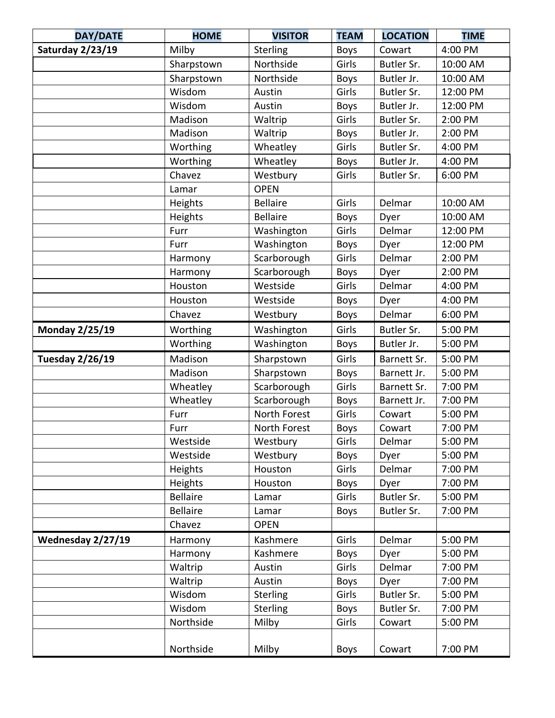| <b>DAY/DATE</b>        | <b>HOME</b>     | <b>VISITOR</b>  | <b>TEAM</b> | <b>LOCATION</b> | <b>TIME</b> |
|------------------------|-----------------|-----------------|-------------|-----------------|-------------|
| Saturday 2/23/19       | Milby           | Sterling        | <b>Boys</b> | Cowart          | 4:00 PM     |
|                        | Sharpstown      | Northside       | Girls       | Butler Sr.      | 10:00 AM    |
|                        | Sharpstown      | Northside       | <b>Boys</b> | Butler Jr.      | 10:00 AM    |
|                        | Wisdom          | Austin          | Girls       | Butler Sr.      | 12:00 PM    |
|                        | Wisdom          | Austin          | <b>Boys</b> | Butler Jr.      | 12:00 PM    |
|                        | Madison         | Waltrip         | Girls       | Butler Sr.      | 2:00 PM     |
|                        | Madison         | Waltrip         | <b>Boys</b> | Butler Jr.      | 2:00 PM     |
|                        | Worthing        | Wheatley        | Girls       | Butler Sr.      | 4:00 PM     |
|                        | Worthing        | Wheatley        | <b>Boys</b> | Butler Jr.      | 4:00 PM     |
|                        | Chavez          | Westbury        | Girls       | Butler Sr.      | 6:00 PM     |
|                        | Lamar           | <b>OPEN</b>     |             |                 |             |
|                        | Heights         | <b>Bellaire</b> | Girls       | Delmar          | 10:00 AM    |
|                        | Heights         | <b>Bellaire</b> | <b>Boys</b> | Dyer            | 10:00 AM    |
|                        | Furr            | Washington      | Girls       | Delmar          | 12:00 PM    |
|                        | Furr            | Washington      | <b>Boys</b> | Dyer            | 12:00 PM    |
|                        | Harmony         | Scarborough     | Girls       | Delmar          | 2:00 PM     |
|                        | Harmony         | Scarborough     | <b>Boys</b> | Dyer            | 2:00 PM     |
|                        | Houston         | Westside        | Girls       | Delmar          | 4:00 PM     |
|                        | Houston         | Westside        | <b>Boys</b> | Dyer            | 4:00 PM     |
|                        | Chavez          | Westbury        | <b>Boys</b> | Delmar          | 6:00 PM     |
| <b>Monday 2/25/19</b>  | Worthing        | Washington      | Girls       | Butler Sr.      | 5:00 PM     |
|                        | Worthing        | Washington      | <b>Boys</b> | Butler Jr.      | 5:00 PM     |
| <b>Tuesday 2/26/19</b> | Madison         | Sharpstown      | Girls       | Barnett Sr.     | 5:00 PM     |
|                        | Madison         | Sharpstown      | <b>Boys</b> | Barnett Jr.     | 5:00 PM     |
|                        | Wheatley        | Scarborough     | Girls       | Barnett Sr.     | 7:00 PM     |
|                        | Wheatley        | Scarborough     | Boys        | Barnett Jr.     | 7:00 PM     |
|                        | Furr            | North Forest    | Girls       | Cowart          | 5:00 PM     |
|                        | Furr            | North Forest    | <b>Boys</b> | Cowart          | 7:00 PM     |
|                        | Westside        | Westbury        | Girls       | Delmar          | 5:00 PM     |
|                        | Westside        | Westbury        | <b>Boys</b> | Dyer            | 5:00 PM     |
|                        | Heights         | Houston         | Girls       | Delmar          | 7:00 PM     |
|                        | Heights         | Houston         | <b>Boys</b> | Dyer            | 7:00 PM     |
|                        | <b>Bellaire</b> | Lamar           | Girls       | Butler Sr.      | 5:00 PM     |
|                        | <b>Bellaire</b> | Lamar           | <b>Boys</b> | Butler Sr.      | 7:00 PM     |
|                        | Chavez          | <b>OPEN</b>     |             |                 |             |
| Wednesday 2/27/19      | Harmony         | Kashmere        | Girls       | Delmar          | 5:00 PM     |
|                        | Harmony         | Kashmere        | <b>Boys</b> | Dyer            | 5:00 PM     |
|                        | Waltrip         | Austin          | Girls       | Delmar          | 7:00 PM     |
|                        | Waltrip         | Austin          | <b>Boys</b> | Dyer            | 7:00 PM     |
|                        | Wisdom          | <b>Sterling</b> | Girls       | Butler Sr.      | 5:00 PM     |
|                        | Wisdom          | Sterling        | <b>Boys</b> | Butler Sr.      | 7:00 PM     |
|                        | Northside       | Milby           | Girls       | Cowart          | 5:00 PM     |
|                        |                 |                 |             |                 |             |
|                        | Northside       | Milby           | <b>Boys</b> | Cowart          | 7:00 PM     |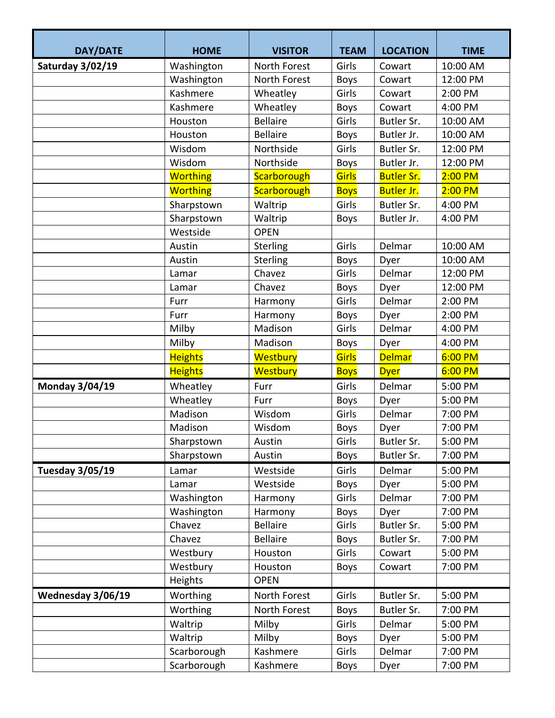| <b>DAY/DATE</b>       | <b>HOME</b>     | <b>VISITOR</b>  | <b>TEAM</b> | <b>LOCATION</b>   | <b>TIME</b> |
|-----------------------|-----------------|-----------------|-------------|-------------------|-------------|
| Saturday 3/02/19      | Washington      | North Forest    | Girls       | Cowart            | 10:00 AM    |
|                       | Washington      | North Forest    | <b>Boys</b> | Cowart            | 12:00 PM    |
|                       | Kashmere        | Wheatley        | Girls       | Cowart            | 2:00 PM     |
|                       | Kashmere        | Wheatley        | Boys        | Cowart            | 4:00 PM     |
|                       | Houston         | <b>Bellaire</b> | Girls       | Butler Sr.        | 10:00 AM    |
|                       | Houston         | <b>Bellaire</b> | Boys        | Butler Jr.        | 10:00 AM    |
|                       | Wisdom          | Northside       | Girls       | Butler Sr.        | 12:00 PM    |
|                       | Wisdom          | Northside       | <b>Boys</b> | Butler Jr.        | 12:00 PM    |
|                       | <b>Worthing</b> | Scarborough     | Girls       | <b>Butler Sr.</b> | $2:00$ PM   |
|                       | <b>Worthing</b> | Scarborough     | <b>Boys</b> | <b>Butler Jr.</b> | $2:00$ PM   |
|                       | Sharpstown      | Waltrip         | Girls       | Butler Sr.        | 4:00 PM     |
|                       | Sharpstown      | Waltrip         | <b>Boys</b> | Butler Jr.        | 4:00 PM     |
|                       | Westside        | <b>OPEN</b>     |             |                   |             |
|                       | Austin          | Sterling        | Girls       | Delmar            | 10:00 AM    |
|                       | Austin          | Sterling        | <b>Boys</b> | Dyer              | 10:00 AM    |
|                       | Lamar           | Chavez          | Girls       | Delmar            | 12:00 PM    |
|                       | Lamar           | Chavez          | <b>Boys</b> | Dyer              | 12:00 PM    |
|                       | Furr            | Harmony         | Girls       | Delmar            | 2:00 PM     |
|                       | Furr            | Harmony         | <b>Boys</b> | Dyer              | 2:00 PM     |
|                       | Milby           | Madison         | Girls       | Delmar            | 4:00 PM     |
|                       | Milby           | Madison         | Boys        | Dyer              | 4:00 PM     |
|                       | <b>Heights</b>  | Westbury        | Girls       | <b>Delmar</b>     | 6:00 P M    |
|                       | <b>Heights</b>  | Westbury        | <b>Boys</b> | <b>Dyer</b>       | 6:00 P M    |
| <b>Monday 3/04/19</b> | Wheatley        | Furr            | Girls       | Delmar            | 5:00 PM     |
|                       | Wheatley        | Furr            | Boys        | Dyer              | 5:00 PM     |
|                       | Madison         | Wisdom          | Girls       | Delmar            | 7:00 PM     |
|                       | Madison         | Wisdom          | <b>Boys</b> | Dyer              | 7:00 PM     |
|                       | Sharpstown      | Austin          | Girls       | Butler Sr.        | 5:00 PM     |
|                       | Sharpstown      | Austin          | <b>Boys</b> | Butler Sr.        | 7:00 PM     |
| Tuesday 3/05/19       | Lamar           | Westside        | Girls       | Delmar            | 5:00 PM     |
|                       | Lamar           | Westside        | <b>Boys</b> | Dyer              | 5:00 PM     |
|                       | Washington      | Harmony         | Girls       | Delmar            | 7:00 PM     |
|                       | Washington      | Harmony         | <b>Boys</b> | Dyer              | 7:00 PM     |
|                       | Chavez          | <b>Bellaire</b> | Girls       | Butler Sr.        | 5:00 PM     |
|                       | Chavez          | <b>Bellaire</b> | <b>Boys</b> | Butler Sr.        | 7:00 PM     |
|                       | Westbury        | Houston         | Girls       | Cowart            | 5:00 PM     |
|                       | Westbury        | Houston         | <b>Boys</b> | Cowart            | 7:00 PM     |
|                       | Heights         | <b>OPEN</b>     |             |                   |             |
| Wednesday 3/06/19     | Worthing        | North Forest    | Girls       | Butler Sr.        | 5:00 PM     |
|                       | Worthing        | North Forest    | <b>Boys</b> | Butler Sr.        | 7:00 PM     |
|                       | Waltrip         | Milby           | Girls       | Delmar            | 5:00 PM     |
|                       | Waltrip         | Milby           | <b>Boys</b> | Dyer              | 5:00 PM     |
|                       | Scarborough     | Kashmere        | Girls       | Delmar            | 7:00 PM     |
|                       | Scarborough     | Kashmere        | <b>Boys</b> | Dyer              | 7:00 PM     |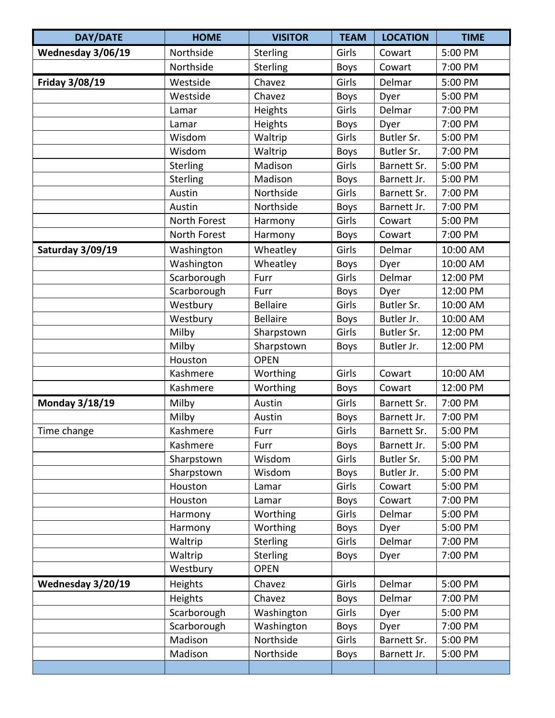| <b>DAY/DATE</b>   | <b>HOME</b>  | <b>VISITOR</b>  | <b>TEAM</b> | <b>LOCATION</b> | <b>TIME</b> |
|-------------------|--------------|-----------------|-------------|-----------------|-------------|
| Wednesday 3/06/19 | Northside    | Sterling        | Girls       | Cowart          | 5:00 PM     |
|                   | Northside    | Sterling        | <b>Boys</b> | Cowart          | 7:00 PM     |
| Friday 3/08/19    | Westside     | Chavez          | Girls       | Delmar          | 5:00 PM     |
|                   | Westside     | Chavez          | <b>Boys</b> | Dyer            | 5:00 PM     |
|                   | Lamar        | Heights         | Girls       | Delmar          | 7:00 PM     |
|                   | Lamar        | Heights         | Boys        | Dyer            | 7:00 PM     |
|                   | Wisdom       | Waltrip         | Girls       | Butler Sr.      | 5:00 PM     |
|                   | Wisdom       | Waltrip         | <b>Boys</b> | Butler Sr.      | 7:00 PM     |
|                   | Sterling     | Madison         | Girls       | Barnett Sr.     | 5:00 PM     |
|                   | Sterling     | Madison         | <b>Boys</b> | Barnett Jr.     | 5:00 PM     |
|                   | Austin       | Northside       | Girls       | Barnett Sr.     | 7:00 PM     |
|                   | Austin       | Northside       | <b>Boys</b> | Barnett Jr.     | 7:00 PM     |
|                   | North Forest | Harmony         | Girls       | Cowart          | 5:00 PM     |
|                   | North Forest | Harmony         | <b>Boys</b> | Cowart          | 7:00 PM     |
| Saturday 3/09/19  | Washington   | Wheatley        | Girls       | Delmar          | 10:00 AM    |
|                   | Washington   | Wheatley        | <b>Boys</b> | Dyer            | 10:00 AM    |
|                   | Scarborough  | Furr            | Girls       | Delmar          | 12:00 PM    |
|                   | Scarborough  | Furr            | <b>Boys</b> | Dyer            | 12:00 PM    |
|                   | Westbury     | <b>Bellaire</b> | Girls       | Butler Sr.      | 10:00 AM    |
|                   | Westbury     | <b>Bellaire</b> | <b>Boys</b> | Butler Jr.      | 10:00 AM    |
|                   | Milby        | Sharpstown      | Girls       | Butler Sr.      | 12:00 PM    |
|                   | Milby        | Sharpstown      | <b>Boys</b> | Butler Jr.      | 12:00 PM    |
|                   | Houston      | <b>OPEN</b>     |             |                 |             |
|                   | Kashmere     | Worthing        | Girls       | Cowart          | 10:00 AM    |
|                   | Kashmere     | Worthing        | <b>Boys</b> | Cowart          | 12:00 PM    |
| Monday 3/18/19    | Milby        | Austin          | Girls       | Barnett Sr.     | 7:00 PM     |
|                   | Milby        | Austin          | Boys        | Barnett Jr.     | 7:00 PM     |
| Time change       | Kashmere     | Furr            | Girls       | Barnett Sr.     | 5:00 PM     |
|                   | Kashmere     | Furr            | <b>Boys</b> | Barnett Jr.     | 5:00 PM     |
|                   | Sharpstown   | Wisdom          | Girls       | Butler Sr.      | 5:00 PM     |
|                   | Sharpstown   | Wisdom          | <b>Boys</b> | Butler Jr.      | 5:00 PM     |
|                   | Houston      | Lamar           | Girls       | Cowart          | 5:00 PM     |
|                   | Houston      | Lamar           | Boys        | Cowart          | 7:00 PM     |
|                   | Harmony      | Worthing        | Girls       | Delmar          | 5:00 PM     |
|                   | Harmony      | Worthing        | <b>Boys</b> | Dyer            | 5:00 PM     |
|                   | Waltrip      | Sterling        | Girls       | Delmar          | 7:00 PM     |
|                   | Waltrip      | Sterling        | <b>Boys</b> | Dyer            | 7:00 PM     |
|                   | Westbury     | <b>OPEN</b>     |             |                 |             |
| Wednesday 3/20/19 | Heights      | Chavez          | Girls       | Delmar          | 5:00 PM     |
|                   | Heights      | Chavez          | <b>Boys</b> | Delmar          | 7:00 PM     |
|                   | Scarborough  | Washington      | Girls       | Dyer            | 5:00 PM     |
|                   | Scarborough  | Washington      | <b>Boys</b> | Dyer            | 7:00 PM     |
|                   | Madison      | Northside       | Girls       | Barnett Sr.     | 5:00 PM     |
|                   | Madison      | Northside       | <b>Boys</b> | Barnett Jr.     | 5:00 PM     |
|                   |              |                 |             |                 |             |